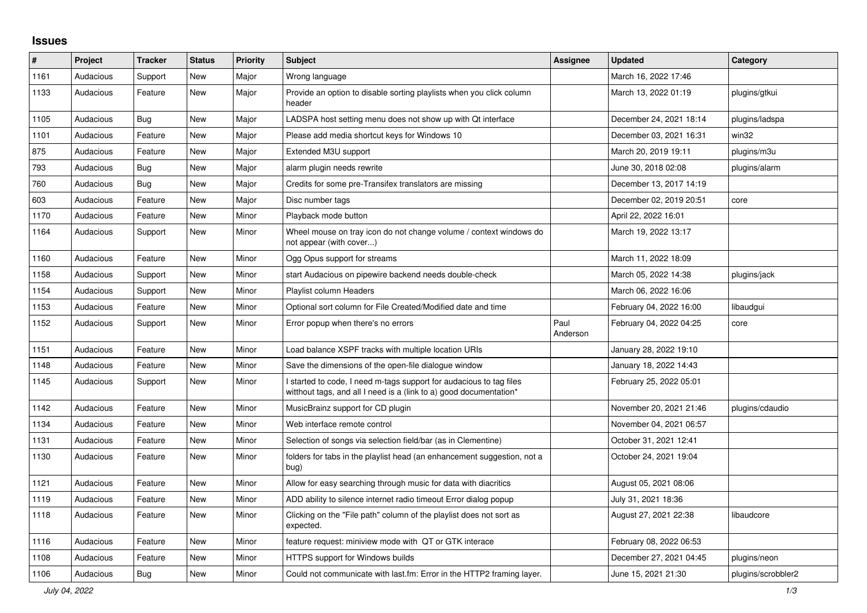## **Issues**

| ∦    | Project   | <b>Tracker</b> | <b>Status</b> | <b>Priority</b> | <b>Subject</b>                                                                                                                            | Assignee         | <b>Updated</b>          | Category           |
|------|-----------|----------------|---------------|-----------------|-------------------------------------------------------------------------------------------------------------------------------------------|------------------|-------------------------|--------------------|
| 1161 | Audacious | Support        | <b>New</b>    | Major           | Wrong language                                                                                                                            |                  | March 16, 2022 17:46    |                    |
| 1133 | Audacious | Feature        | New           | Major           | Provide an option to disable sorting playlists when you click column<br>header                                                            |                  | March 13, 2022 01:19    | plugins/gtkui      |
| 1105 | Audacious | Bug            | <b>New</b>    | Major           | LADSPA host setting menu does not show up with Qt interface                                                                               |                  | December 24, 2021 18:14 | plugins/ladspa     |
| 1101 | Audacious | Feature        | <b>New</b>    | Major           | Please add media shortcut keys for Windows 10                                                                                             |                  | December 03, 2021 16:31 | win32              |
| 875  | Audacious | Feature        | <b>New</b>    | Major           | Extended M3U support                                                                                                                      |                  | March 20, 2019 19:11    | plugins/m3u        |
| 793  | Audacious | Bug            | New           | Major           | alarm plugin needs rewrite                                                                                                                |                  | June 30, 2018 02:08     | plugins/alarm      |
| 760  | Audacious | <b>Bug</b>     | <b>New</b>    | Major           | Credits for some pre-Transifex translators are missing                                                                                    |                  | December 13, 2017 14:19 |                    |
| 603  | Audacious | Feature        | <b>New</b>    | Major           | Disc number tags                                                                                                                          |                  | December 02, 2019 20:51 | core               |
| 1170 | Audacious | Feature        | <b>New</b>    | Minor           | Playback mode button                                                                                                                      |                  | April 22, 2022 16:01    |                    |
| 1164 | Audacious | Support        | New           | Minor           | Wheel mouse on tray icon do not change volume / context windows do<br>not appear (with cover)                                             |                  | March 19, 2022 13:17    |                    |
| 1160 | Audacious | Feature        | <b>New</b>    | Minor           | Ogg Opus support for streams                                                                                                              |                  | March 11, 2022 18:09    |                    |
| 1158 | Audacious | Support        | <b>New</b>    | Minor           | start Audacious on pipewire backend needs double-check                                                                                    |                  | March 05, 2022 14:38    | plugins/jack       |
| 1154 | Audacious | Support        | <b>New</b>    | Minor           | Playlist column Headers                                                                                                                   |                  | March 06, 2022 16:06    |                    |
| 1153 | Audacious | Feature        | New           | Minor           | Optional sort column for File Created/Modified date and time                                                                              |                  | February 04, 2022 16:00 | libaudgui          |
| 1152 | Audacious | Support        | New           | Minor           | Error popup when there's no errors                                                                                                        | Paul<br>Anderson | February 04, 2022 04:25 | core               |
| 1151 | Audacious | Feature        | <b>New</b>    | Minor           | Load balance XSPF tracks with multiple location URIs                                                                                      |                  | January 28, 2022 19:10  |                    |
| 1148 | Audacious | Feature        | New           | Minor           | Save the dimensions of the open-file dialogue window                                                                                      |                  | January 18, 2022 14:43  |                    |
| 1145 | Audacious | Support        | New           | Minor           | I started to code, I need m-tags support for audacious to tag files<br>witthout tags, and all I need is a (link to a) good documentation* |                  | February 25, 2022 05:01 |                    |
| 1142 | Audacious | Feature        | <b>New</b>    | Minor           | MusicBrainz support for CD plugin                                                                                                         |                  | November 20, 2021 21:46 | plugins/cdaudio    |
| 1134 | Audacious | Feature        | <b>New</b>    | Minor           | Web interface remote control                                                                                                              |                  | November 04, 2021 06:57 |                    |
| 1131 | Audacious | Feature        | <b>New</b>    | Minor           | Selection of songs via selection field/bar (as in Clementine)                                                                             |                  | October 31, 2021 12:41  |                    |
| 1130 | Audacious | Feature        | New           | Minor           | folders for tabs in the playlist head (an enhancement suggestion, not a<br>bug)                                                           |                  | October 24, 2021 19:04  |                    |
| 1121 | Audacious | Feature        | <b>New</b>    | Minor           | Allow for easy searching through music for data with diacritics                                                                           |                  | August 05, 2021 08:06   |                    |
| 1119 | Audacious | Feature        | New           | Minor           | ADD ability to silence internet radio timeout Error dialog popup                                                                          |                  | July 31, 2021 18:36     |                    |
| 1118 | Audacious | Feature        | New           | Minor           | Clicking on the "File path" column of the playlist does not sort as<br>expected.                                                          |                  | August 27, 2021 22:38   | libaudcore         |
| 1116 | Audacious | Feature        | New           | Minor           | feature request: miniview mode with QT or GTK interace                                                                                    |                  | February 08, 2022 06:53 |                    |
| 1108 | Audacious | Feature        | New           | Minor           | HTTPS support for Windows builds                                                                                                          |                  | December 27, 2021 04:45 | plugins/neon       |
| 1106 | Audacious | <b>Bug</b>     | <b>New</b>    | Minor           | Could not communicate with last.fm: Error in the HTTP2 framing layer.                                                                     |                  | June 15, 2021 21:30     | plugins/scrobbler2 |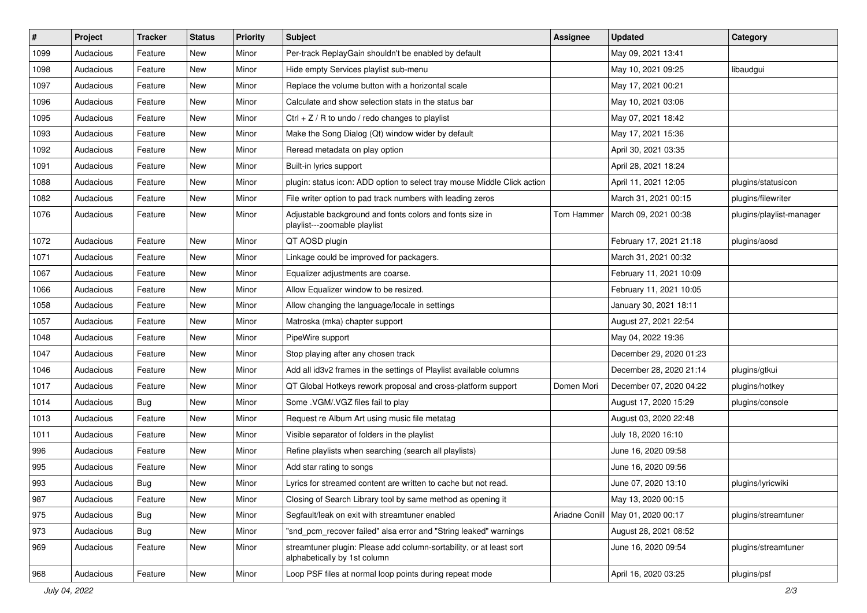| $\vert$ # | Project   | <b>Tracker</b> | <b>Status</b> | <b>Priority</b> | <b>Subject</b>                                                                                      | <b>Assignee</b> | <b>Updated</b>          | Category                 |
|-----------|-----------|----------------|---------------|-----------------|-----------------------------------------------------------------------------------------------------|-----------------|-------------------------|--------------------------|
| 1099      | Audacious | Feature        | New           | Minor           | Per-track ReplayGain shouldn't be enabled by default                                                |                 | May 09, 2021 13:41      |                          |
| 1098      | Audacious | Feature        | <b>New</b>    | Minor           | Hide empty Services playlist sub-menu                                                               |                 | May 10, 2021 09:25      | libaudgui                |
| 1097      | Audacious | Feature        | New           | Minor           | Replace the volume button with a horizontal scale                                                   |                 | May 17, 2021 00:21      |                          |
| 1096      | Audacious | Feature        | New           | Minor           | Calculate and show selection stats in the status bar                                                |                 | May 10, 2021 03:06      |                          |
| 1095      | Audacious | Feature        | <b>New</b>    | Minor           | Ctrl $+$ Z / R to undo / redo changes to playlist                                                   |                 | May 07, 2021 18:42      |                          |
| 1093      | Audacious | Feature        | New           | Minor           | Make the Song Dialog (Qt) window wider by default                                                   |                 | May 17, 2021 15:36      |                          |
| 1092      | Audacious | Feature        | New           | Minor           | Reread metadata on play option                                                                      |                 | April 30, 2021 03:35    |                          |
| 1091      | Audacious | Feature        | New           | Minor           | Built-in lyrics support                                                                             |                 | April 28, 2021 18:24    |                          |
| 1088      | Audacious | Feature        | New           | Minor           | plugin: status icon: ADD option to select tray mouse Middle Click action                            |                 | April 11, 2021 12:05    | plugins/statusicon       |
| 1082      | Audacious | Feature        | New           | Minor           | File writer option to pad track numbers with leading zeros                                          |                 | March 31, 2021 00:15    | plugins/filewriter       |
| 1076      | Audacious | Feature        | New           | Minor           | Adjustable background and fonts colors and fonts size in<br>playlist---zoomable playlist            | Tom Hammer      | March 09, 2021 00:38    | plugins/playlist-manager |
| 1072      | Audacious | Feature        | New           | Minor           | QT AOSD plugin                                                                                      |                 | February 17, 2021 21:18 | plugins/aosd             |
| 1071      | Audacious | Feature        | New           | Minor           | Linkage could be improved for packagers.                                                            |                 | March 31, 2021 00:32    |                          |
| 1067      | Audacious | Feature        | New           | Minor           | Equalizer adjustments are coarse.                                                                   |                 | February 11, 2021 10:09 |                          |
| 1066      | Audacious | Feature        | New           | Minor           | Allow Equalizer window to be resized.                                                               |                 | February 11, 2021 10:05 |                          |
| 1058      | Audacious | Feature        | New           | Minor           | Allow changing the language/locale in settings                                                      |                 | January 30, 2021 18:11  |                          |
| 1057      | Audacious | Feature        | New           | Minor           | Matroska (mka) chapter support                                                                      |                 | August 27, 2021 22:54   |                          |
| 1048      | Audacious | Feature        | New           | Minor           | PipeWire support                                                                                    |                 | May 04, 2022 19:36      |                          |
| 1047      | Audacious | Feature        | New           | Minor           | Stop playing after any chosen track                                                                 |                 | December 29, 2020 01:23 |                          |
| 1046      | Audacious | Feature        | New           | Minor           | Add all id3v2 frames in the settings of Playlist available columns                                  |                 | December 28, 2020 21:14 | plugins/gtkui            |
| 1017      | Audacious | Feature        | New           | Minor           | QT Global Hotkeys rework proposal and cross-platform support                                        | Domen Mori      | December 07, 2020 04:22 | plugins/hotkey           |
| 1014      | Audacious | <b>Bug</b>     | <b>New</b>    | Minor           | Some .VGM/.VGZ files fail to play                                                                   |                 | August 17, 2020 15:29   | plugins/console          |
| 1013      | Audacious | Feature        | New           | Minor           | Request re Album Art using music file metatag                                                       |                 | August 03, 2020 22:48   |                          |
| 1011      | Audacious | Feature        | New           | Minor           | Visible separator of folders in the playlist                                                        |                 | July 18, 2020 16:10     |                          |
| 996       | Audacious | Feature        | New           | Minor           | Refine playlists when searching (search all playlists)                                              |                 | June 16, 2020 09:58     |                          |
| 995       | Audacious | Feature        | New           | Minor           | Add star rating to songs                                                                            |                 | June 16, 2020 09:56     |                          |
| 993       | Audacious | <b>Bug</b>     | <b>New</b>    | Minor           | Lyrics for streamed content are written to cache but not read.                                      |                 | June 07, 2020 13:10     | plugins/lyricwiki        |
| 987       | Audacious | Feature        | New           | Minor           | Closing of Search Library tool by same method as opening it                                         |                 | May 13, 2020 00:15      |                          |
| 975       | Audacious | <b>Bug</b>     | New           | Minor           | Segfault/leak on exit with streamtuner enabled                                                      | Ariadne Conill  | May 01, 2020 00:17      | plugins/streamtuner      |
| 973       | Audacious | <b>Bug</b>     | New           | Minor           | "snd pcm recover failed" alsa error and "String leaked" warnings                                    |                 | August 28, 2021 08:52   |                          |
| 969       | Audacious | Feature        | New           | Minor           | streamtuner plugin: Please add column-sortability, or at least sort<br>alphabetically by 1st column |                 | June 16, 2020 09:54     | plugins/streamtuner      |
| 968       | Audacious | Feature        | New           | Minor           | Loop PSF files at normal loop points during repeat mode                                             |                 | April 16, 2020 03:25    | plugins/psf              |